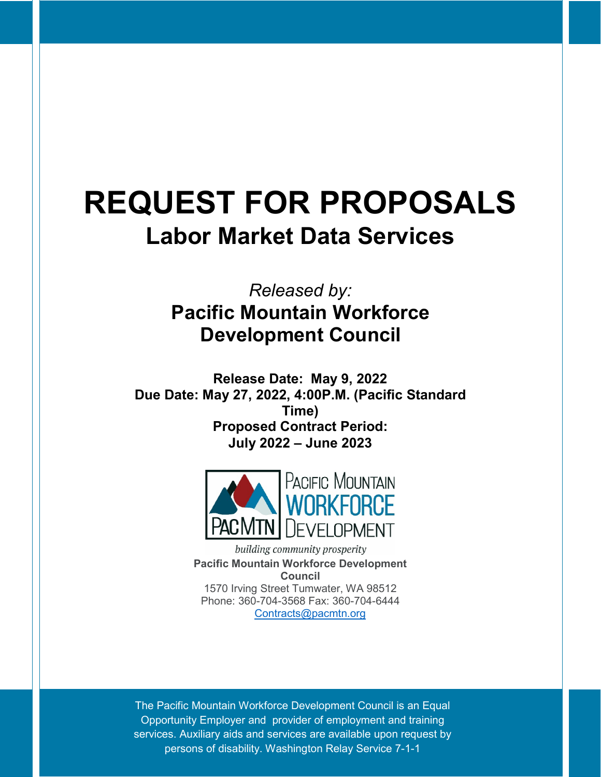# **REQUEST FOR PROPOSALS Labor Market Data Services**

# *Released by:* **Pacific Mountain Workforce Development Council**

**Release Date: May 9, 2022 Due Date: May 27, 2022, 4:00P.M. (Pacific Standard Time) Proposed Contract Period: July 2022 – June 2023**



building community prosperity **Pacific Mountain Workforce Development Council** 1570 Irving Street Tumwater, WA 98512 Phone: 360-704-3568 Fax: 360-704-6444 [Contracts@pacmtn.org](mailto:Contracts@pacmtn.org)

The Pacific Mountain Workforce Development Council is an Equal Opportunity Employer and provider of employment and training services. Auxiliary aids and services are available upon request by persons of disability. Washington Relay Service 7-1-1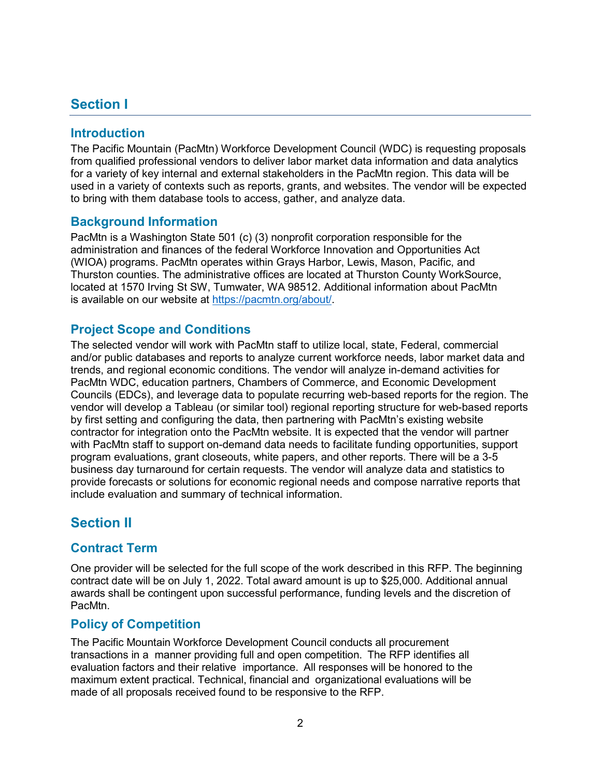# <span id="page-2-0"></span>**Section I**

### <span id="page-2-1"></span>**Introduction**

The Pacific Mountain (PacMtn) Workforce Development Council (WDC) is requesting proposals from qualified professional vendors to deliver labor market data information and data analytics for a variety of key internal and external stakeholders in the PacMtn region. This data will be used in a variety of contexts such as reports, grants, and websites. The vendor will be expected to bring with them database tools to access, gather, and analyze data.

#### <span id="page-2-2"></span>**Background Information**

PacMtn is a Washington State 501 (c) (3) nonprofit corporation responsible for the administration and finances of the federal Workforce Innovation and Opportunities Act (WIOA) programs. PacMtn operates within Grays Harbor, Lewis, Mason, Pacific, and Thurston counties. The administrative offices are located at Thurston County WorkSource, located at 1570 Irving St SW, Tumwater, WA 98512. Additional information about PacMtn is available on our website at [https://pacmtn.org/about/.](https://pacmtn.org/about/)

#### <span id="page-2-3"></span>**Project Scope and Conditions**

The selected vendor will work with PacMtn staff to utilize local, state, Federal, commercial and/or public databases and reports to analyze current workforce needs, labor market data and trends, and regional economic conditions. The vendor will analyze in-demand activities for PacMtn WDC, education partners, Chambers of Commerce, and Economic Development Councils (EDCs), and leverage data to populate recurring web-based reports for the region. The vendor will develop a Tableau (or similar tool) regional reporting structure for web-based reports by first setting and configuring the data, then partnering with PacMtn's existing website contractor for integration onto the PacMtn website. It is expected that the vendor will partner with PacMtn staff to support on-demand data needs to facilitate funding opportunities, support program evaluations, grant closeouts, white papers, and other reports. There will be a 3-5 business day turnaround for certain requests. The vendor will analyze data and statistics to provide forecasts or solutions for economic regional needs and compose narrative reports that include evaluation and summary of technical information.

# **Section II**

#### <span id="page-2-4"></span>**Contract Term**

One provider will be selected for the full scope of the work described in this RFP. The beginning contract date will be on July 1, 2022. Total award amount is up to \$25,000. Additional annual awards shall be contingent upon successful performance, funding levels and the discretion of PacMtn.

#### **Policy of Competition**

The Pacific Mountain Workforce Development Council conducts all procurement transactions in a manner providing full and open competition. The RFP identifies all evaluation factors and their relative importance. All responses will be honored to the maximum extent practical. Technical, financial and organizational evaluations will be made of all proposals received found to be responsive to the RFP.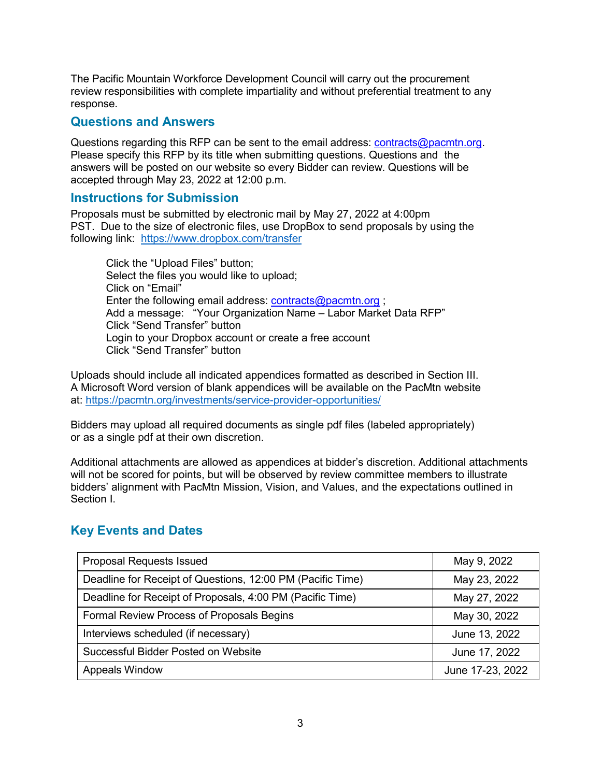The Pacific Mountain Workforce Development Council will carry out the procurement review responsibilities with complete impartiality and without preferential treatment to any response.

#### <span id="page-3-0"></span>**Questions and Answers**

Questions regarding this RFP can be sent to the email address: [contracts@pacmtn.org.](mailto:contracts@pacmtn.org) Please specify this RFP by its title when submitting questions. Questions and the answers will be posted on our website so every Bidder can review. Questions will be accepted through May 23, 2022 at 12:00 p.m.

#### <span id="page-3-1"></span>**Instructions for Submission**

Proposals must be submitted by electronic mail by May 27, 2022 at 4:00pm PST. Due to the size of electronic files, use DropBox to send proposals by using the following link: <https://www.dropbox.com/transfer>

Click the "Upload Files" button; Select the files you would like to upload; Click on "Email" Enter the following email address: [contracts@pacmtn.org](mailto:contracts@pacmtn.org); Add a message: "Your Organization Name – Labor Market Data RFP" Click "Send Transfer" button Login to your Dropbox account or create a free account Click "Send Transfer" button

Uploads should include all indicated appendices formatted as described in Section III. A Microsoft Word version of blank appendices will be available on the PacMtn website at:<https://pacmtn.org/investments/service-provider-opportunities/>

Bidders may upload all required documents as single pdf files (labeled appropriately) or as a single pdf at their own discretion.

Additional attachments are allowed as appendices at bidder's discretion. Additional attachments will not be scored for points, but will be observed by review committee members to illustrate bidders' alignment with PacMtn Mission, Vision, and Values, and the expectations outlined in Section I.

# <span id="page-3-2"></span>**Key Events and Dates**

| <b>Proposal Requests Issued</b>                            | May 9, 2022      |
|------------------------------------------------------------|------------------|
| Deadline for Receipt of Questions, 12:00 PM (Pacific Time) | May 23, 2022     |
| Deadline for Receipt of Proposals, 4:00 PM (Pacific Time)  | May 27, 2022     |
| Formal Review Process of Proposals Begins                  | May 30, 2022     |
| Interviews scheduled (if necessary)                        | June 13, 2022    |
| Successful Bidder Posted on Website                        | June 17, 2022    |
| <b>Appeals Window</b>                                      | June 17-23, 2022 |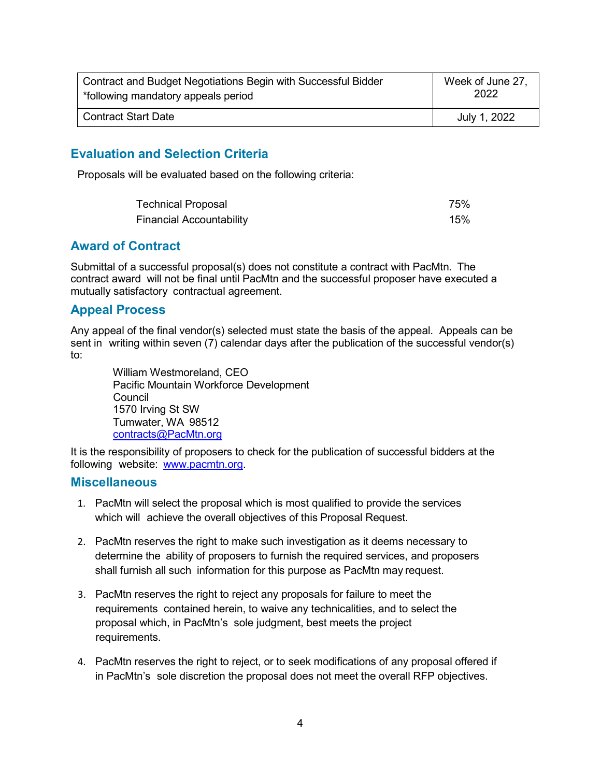| Contract and Budget Negotiations Begin with Successful Bidder | Week of June 27, |
|---------------------------------------------------------------|------------------|
| *following mandatory appeals period                           | 2022             |
| <b>Contract Start Date</b>                                    | July 1, 2022     |

#### <span id="page-4-0"></span>**Evaluation and Selection Criteria**

Proposals will be evaluated based on the following criteria:

| <b>Technical Proposal</b>       | 75% |
|---------------------------------|-----|
| <b>Financial Accountability</b> | 15% |

#### <span id="page-4-1"></span>**Award of Contract**

Submittal of a successful proposal(s) does not constitute a contract with PacMtn. The contract award will not be final until PacMtn and the successful proposer have executed a mutually satisfactory contractual agreement.

#### <span id="page-4-2"></span>**Appeal Process**

Any appeal of the final vendor(s) selected must state the basis of the appeal. Appeals can be sent in writing within seven (7) calendar days after the publication of the successful vendor(s) to:

William Westmoreland, CEO Pacific Mountain Workforce Development Council 1570 Irving St SW Tumwater, WA 98512 [contracts@PacMtn.org](mailto:contracts@PacMtn.org)

It is the responsibility of proposers to check for the publication of successful bidders at the following website: [www.pacmtn.org.](http://www.pacmtn.org/)

#### <span id="page-4-3"></span>**Miscellaneous**

- 1. PacMtn will select the proposal which is most qualified to provide the services which will achieve the overall objectives of this Proposal Request.
- 2. PacMtn reserves the right to make such investigation as it deems necessary to determine the ability of proposers to furnish the required services, and proposers shall furnish all such information for this purpose as PacMtn may request.
- 3. PacMtn reserves the right to reject any proposals for failure to meet the requirements contained herein, to waive any technicalities, and to select the proposal which, in PacMtn's sole judgment, best meets the project requirements.
- 4. PacMtn reserves the right to reject, or to seek modifications of any proposal offered if in PacMtn's sole discretion the proposal does not meet the overall RFP objectives.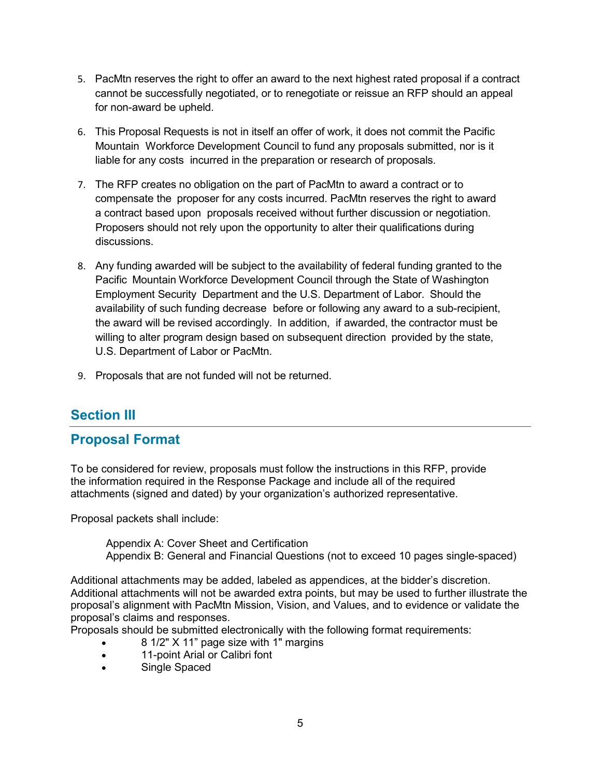- 5. PacMtn reserves the right to offer an award to the next highest rated proposal if a contract cannot be successfully negotiated, or to renegotiate or reissue an RFP should an appeal for non-award be upheld.
- 6. This Proposal Requests is not in itself an offer of work, it does not commit the Pacific Mountain Workforce Development Council to fund any proposals submitted, nor is it liable for any costs incurred in the preparation or research of proposals.
- 7. The RFP creates no obligation on the part of PacMtn to award a contract or to compensate the proposer for any costs incurred. PacMtn reserves the right to award a contract based upon proposals received without further discussion or negotiation. Proposers should not rely upon the opportunity to alter their qualifications during discussions.
- 8. Any funding awarded will be subject to the availability of federal funding granted to the Pacific Mountain Workforce Development Council through the State of Washington Employment Security Department and the U.S. Department of Labor. Should the availability of such funding decrease before or following any award to a sub-recipient, the award will be revised accordingly. In addition, if awarded, the contractor must be willing to alter program design based on subsequent direction provided by the state, U.S. Department of Labor or PacMtn.
- 9. Proposals that are not funded will not be returned.

# <span id="page-5-0"></span>**Section III**

# <span id="page-5-1"></span>**Proposal Format**

To be considered for review, proposals must follow the instructions in this RFP, provide the information required in the Response Package and include all of the required attachments (signed and dated) by your organization's authorized representative.

Proposal packets shall include:

 Appendix A: Cover Sheet and Certification Appendix B: General and Financial Questions (not to exceed 10 pages single-spaced)

Additional attachments may be added, labeled as appendices, at the bidder's discretion. Additional attachments will not be awarded extra points, but may be used to further illustrate the proposal's alignment with PacMtn Mission, Vision, and Values, and to evidence or validate the proposal's claims and responses.

Proposals should be submitted electronically with the following format requirements:

- 8 1/2" X 11" page size with 1" margins
- 11-point Arial or Calibri font
- Single Spaced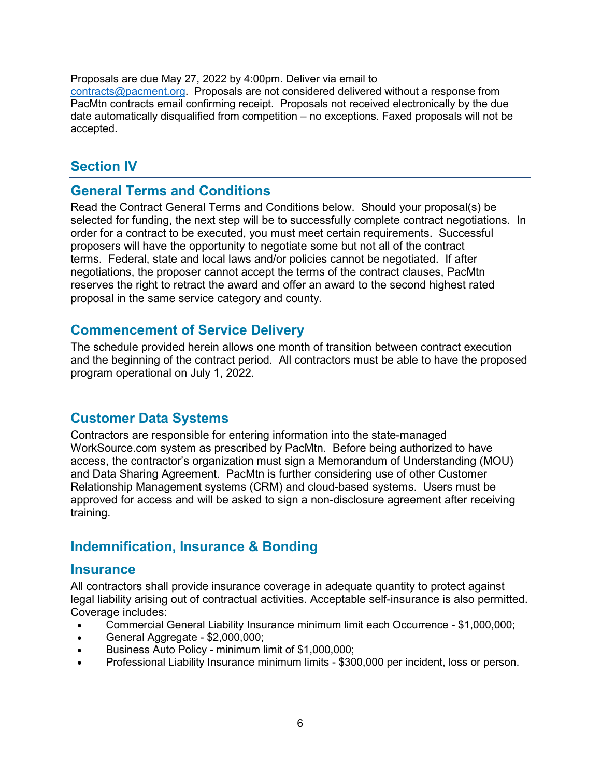Proposals are due May 27, 2022 by 4:00pm. Deliver via email to

[contracts@pacment.org.](mailto:contracts@pacment.org) Proposals are not considered delivered without a response from PacMtn contracts email confirming receipt. Proposals not received electronically by the due date automatically disqualified from competition – no exceptions. Faxed proposals will not be accepted.

# <span id="page-6-0"></span>**Section IV**

# <span id="page-6-1"></span>**General Terms and Conditions**

Read the Contract General Terms and Conditions below. Should your proposal(s) be selected for funding, the next step will be to successfully complete contract negotiations. In order for a contract to be executed, you must meet certain requirements. Successful proposers will have the opportunity to negotiate some but not all of the contract terms. Federal, state and local laws and/or policies cannot be negotiated. If after negotiations, the proposer cannot accept the terms of the contract clauses, PacMtn reserves the right to retract the award and offer an award to the second highest rated proposal in the same service category and county.

# <span id="page-6-2"></span>**Commencement of Service Delivery**

The schedule provided herein allows one month of transition between contract execution and the beginning of the contract period. All contractors must be able to have the proposed program operational on July 1, 2022.

# <span id="page-6-3"></span>**Customer Data Systems**

Contractors are responsible for entering information into the state-managed WorkSource.com system as prescribed by PacMtn. Before being authorized to have access, the contractor's organization must sign a Memorandum of Understanding (MOU) and Data Sharing Agreement. PacMtn is further considering use of other Customer Relationship Management systems (CRM) and cloud-based systems. Users must be approved for access and will be asked to sign a non-disclosure agreement after receiving training.

# <span id="page-6-4"></span>**Indemnification, Insurance & Bonding**

#### <span id="page-6-5"></span>**Insurance**

All contractors shall provide insurance coverage in adequate quantity to protect against legal liability arising out of contractual activities. Acceptable self-insurance is also permitted. Coverage includes:

- Commercial General Liability Insurance minimum limit each Occurrence \$1,000,000;
- General Aggregate \$2,000,000;
- Business Auto Policy minimum limit of \$1,000,000;
- Professional Liability Insurance minimum limits \$300,000 per incident, loss or person.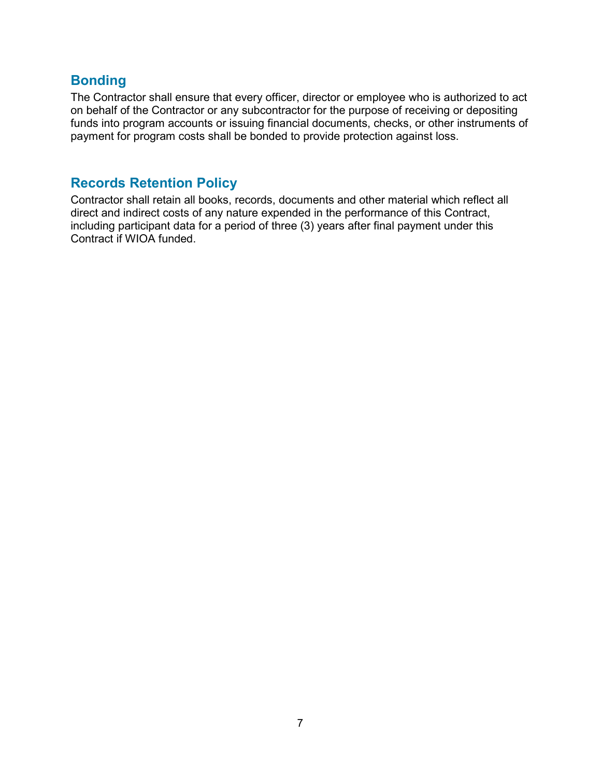# <span id="page-7-0"></span>**Bonding**

The Contractor shall ensure that every officer, director or employee who is authorized to act on behalf of the Contractor or any subcontractor for the purpose of receiving or depositing funds into program accounts or issuing financial documents, checks, or other instruments of payment for program costs shall be bonded to provide protection against loss.

# <span id="page-7-1"></span>**Records Retention Policy**

Contractor shall retain all books, records, documents and other material which reflect all direct and indirect costs of any nature expended in the performance of this Contract, including participant data for a period of three (3) years after final payment under this Contract if WIOA funded.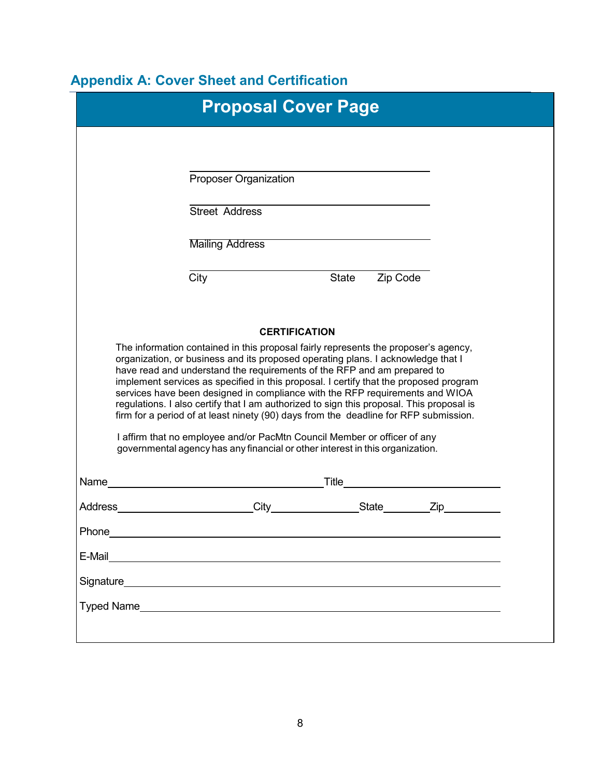# <span id="page-8-0"></span>**Appendix A: Cover Sheet and Certification**

| Proposer Organization<br><b>Street Address</b><br><b>Mailing Address</b><br>City<br>State<br>Zip Code<br><b>CERTIFICATION</b><br>The information contained in this proposal fairly represents the proposer's agency,<br>organization, or business and its proposed operating plans. I acknowledge that I<br>have read and understand the requirements of the RFP and am prepared to<br>implement services as specified in this proposal. I certify that the proposed program<br>services have been designed in compliance with the RFP requirements and WIOA<br>regulations. I also certify that I am authorized to sign this proposal. This proposal is<br>firm for a period of at least ninety (90) days from the deadline for RFP submission.<br>I affirm that no employee and/or PacMtn Council Member or officer of any<br>governmental agency has any financial or other interest in this organization.<br>Zip<br>Address<br>Phone<br>E-Mail<br>Signature <b>Signature Signature Signature Signature Signature Signature Signature Signature Signature Signature Signature Signature Signature Signature Signature Signature Signature Signatu</b> | <b>Proposal Cover Page</b> |  |  |
|----------------------------------------------------------------------------------------------------------------------------------------------------------------------------------------------------------------------------------------------------------------------------------------------------------------------------------------------------------------------------------------------------------------------------------------------------------------------------------------------------------------------------------------------------------------------------------------------------------------------------------------------------------------------------------------------------------------------------------------------------------------------------------------------------------------------------------------------------------------------------------------------------------------------------------------------------------------------------------------------------------------------------------------------------------------------------------------------------------------------------------------------------------|----------------------------|--|--|
|                                                                                                                                                                                                                                                                                                                                                                                                                                                                                                                                                                                                                                                                                                                                                                                                                                                                                                                                                                                                                                                                                                                                                          |                            |  |  |
|                                                                                                                                                                                                                                                                                                                                                                                                                                                                                                                                                                                                                                                                                                                                                                                                                                                                                                                                                                                                                                                                                                                                                          |                            |  |  |
|                                                                                                                                                                                                                                                                                                                                                                                                                                                                                                                                                                                                                                                                                                                                                                                                                                                                                                                                                                                                                                                                                                                                                          |                            |  |  |
|                                                                                                                                                                                                                                                                                                                                                                                                                                                                                                                                                                                                                                                                                                                                                                                                                                                                                                                                                                                                                                                                                                                                                          |                            |  |  |
|                                                                                                                                                                                                                                                                                                                                                                                                                                                                                                                                                                                                                                                                                                                                                                                                                                                                                                                                                                                                                                                                                                                                                          |                            |  |  |
|                                                                                                                                                                                                                                                                                                                                                                                                                                                                                                                                                                                                                                                                                                                                                                                                                                                                                                                                                                                                                                                                                                                                                          |                            |  |  |
|                                                                                                                                                                                                                                                                                                                                                                                                                                                                                                                                                                                                                                                                                                                                                                                                                                                                                                                                                                                                                                                                                                                                                          |                            |  |  |
|                                                                                                                                                                                                                                                                                                                                                                                                                                                                                                                                                                                                                                                                                                                                                                                                                                                                                                                                                                                                                                                                                                                                                          |                            |  |  |
|                                                                                                                                                                                                                                                                                                                                                                                                                                                                                                                                                                                                                                                                                                                                                                                                                                                                                                                                                                                                                                                                                                                                                          |                            |  |  |
|                                                                                                                                                                                                                                                                                                                                                                                                                                                                                                                                                                                                                                                                                                                                                                                                                                                                                                                                                                                                                                                                                                                                                          |                            |  |  |
|                                                                                                                                                                                                                                                                                                                                                                                                                                                                                                                                                                                                                                                                                                                                                                                                                                                                                                                                                                                                                                                                                                                                                          |                            |  |  |
|                                                                                                                                                                                                                                                                                                                                                                                                                                                                                                                                                                                                                                                                                                                                                                                                                                                                                                                                                                                                                                                                                                                                                          |                            |  |  |
|                                                                                                                                                                                                                                                                                                                                                                                                                                                                                                                                                                                                                                                                                                                                                                                                                                                                                                                                                                                                                                                                                                                                                          |                            |  |  |
|                                                                                                                                                                                                                                                                                                                                                                                                                                                                                                                                                                                                                                                                                                                                                                                                                                                                                                                                                                                                                                                                                                                                                          |                            |  |  |